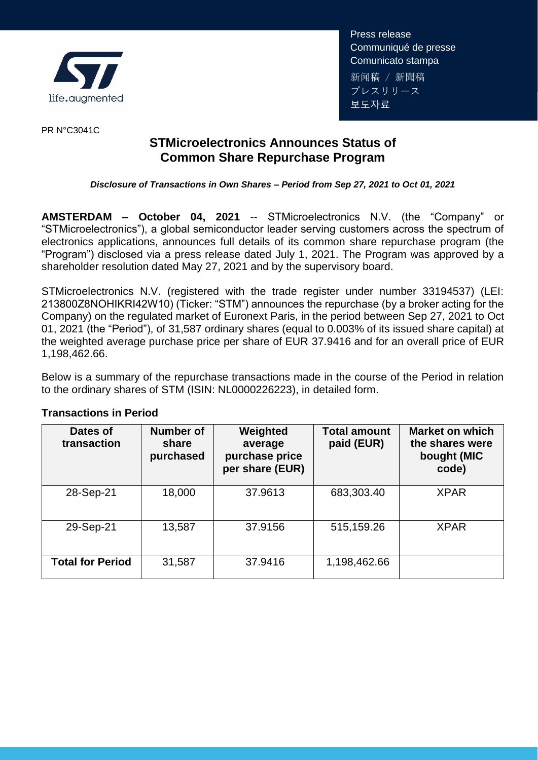

Press release Communiqué de presse Comunicato stampa 新闻稿 / 新聞稿 プレスリリース 보도자료

PR N°C3041C

## **STMicroelectronics Announces Status of Common Share Repurchase Program**

## *Disclosure of Transactions in Own Shares – Period from Sep 27, 2021 to Oct 01, 2021*

**AMSTERDAM – October 04, 2021** -- STMicroelectronics N.V. (the "Company" or "STMicroelectronics"), a global semiconductor leader serving customers across the spectrum of electronics applications, announces full details of its common share repurchase program (the "Program") disclosed via a press release dated July 1, 2021. The Program was approved by a shareholder resolution dated May 27, 2021 and by the supervisory board.

STMicroelectronics N.V. (registered with the trade register under number 33194537) (LEI: 213800Z8NOHIKRI42W10) (Ticker: "STM") announces the repurchase (by a broker acting for the Company) on the regulated market of Euronext Paris, in the period between Sep 27, 2021 to Oct 01, 2021 (the "Period"), of 31,587 ordinary shares (equal to 0.003% of its issued share capital) at the weighted average purchase price per share of EUR 37.9416 and for an overall price of EUR 1,198,462.66.

Below is a summary of the repurchase transactions made in the course of the Period in relation to the ordinary shares of STM (ISIN: NL0000226223), in detailed form.

| Dates of<br>transaction | <b>Number of</b><br>share<br>purchased | Weighted<br>average<br>purchase price<br>per share (EUR) | <b>Total amount</b><br>paid (EUR) | <b>Market on which</b><br>the shares were<br>bought (MIC<br>code) |
|-------------------------|----------------------------------------|----------------------------------------------------------|-----------------------------------|-------------------------------------------------------------------|
| 28-Sep-21               | 18,000                                 | 37.9613                                                  | 683,303.40                        | <b>XPAR</b>                                                       |
| 29-Sep-21               | 13,587                                 | 37,9156                                                  | 515,159.26                        | <b>XPAR</b>                                                       |
| <b>Total for Period</b> | 31,587                                 | 37.9416                                                  | 1,198,462.66                      |                                                                   |

## **Transactions in Period**